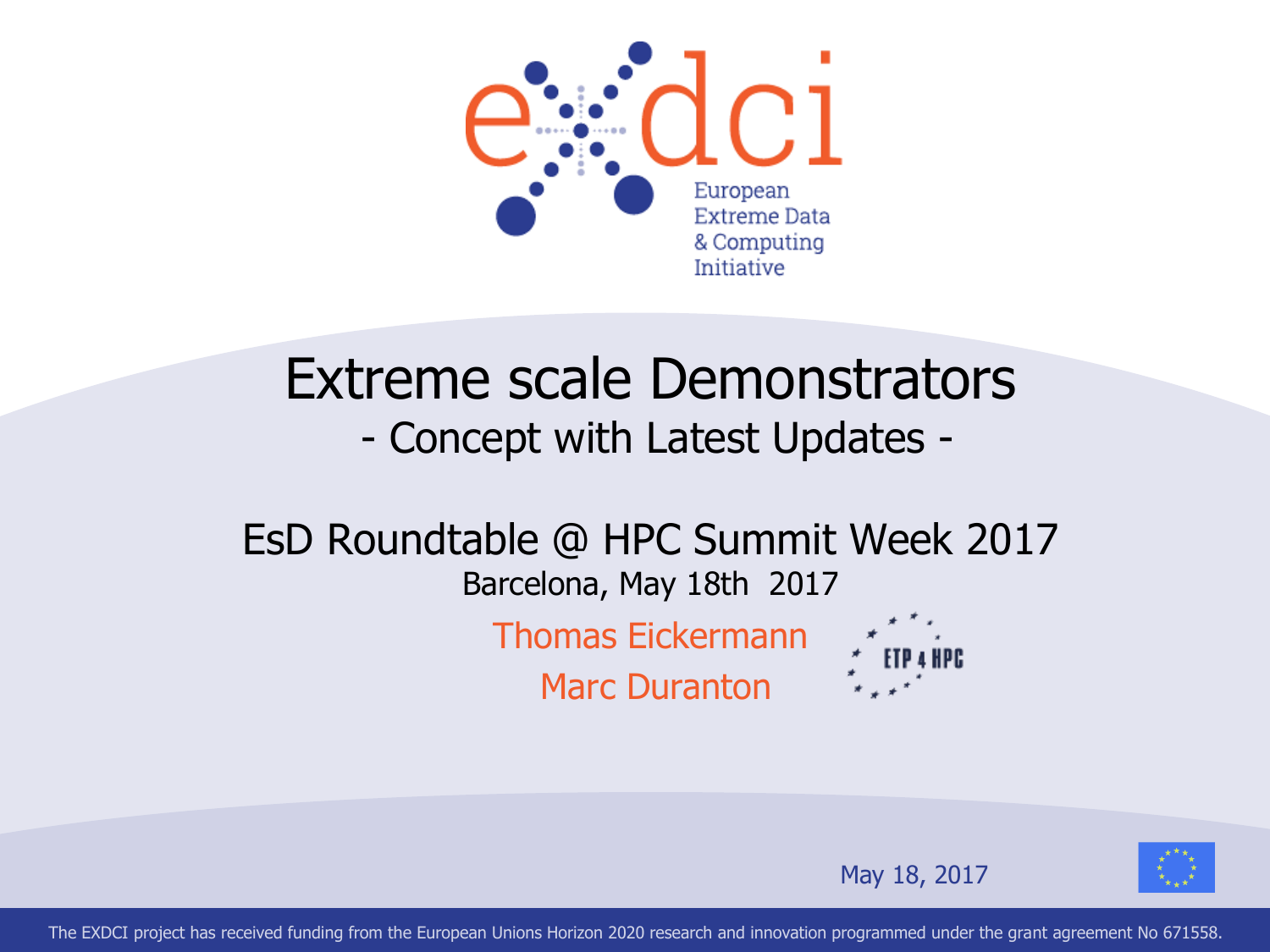

### Extreme scale Demonstrators - Concept with Latest Updates -

#### EsD Roundtable @ HPC Summit Week 2017 Barcelona, May 18th 2017

Thomas Eickermann Marc Duranton





May 18, 2017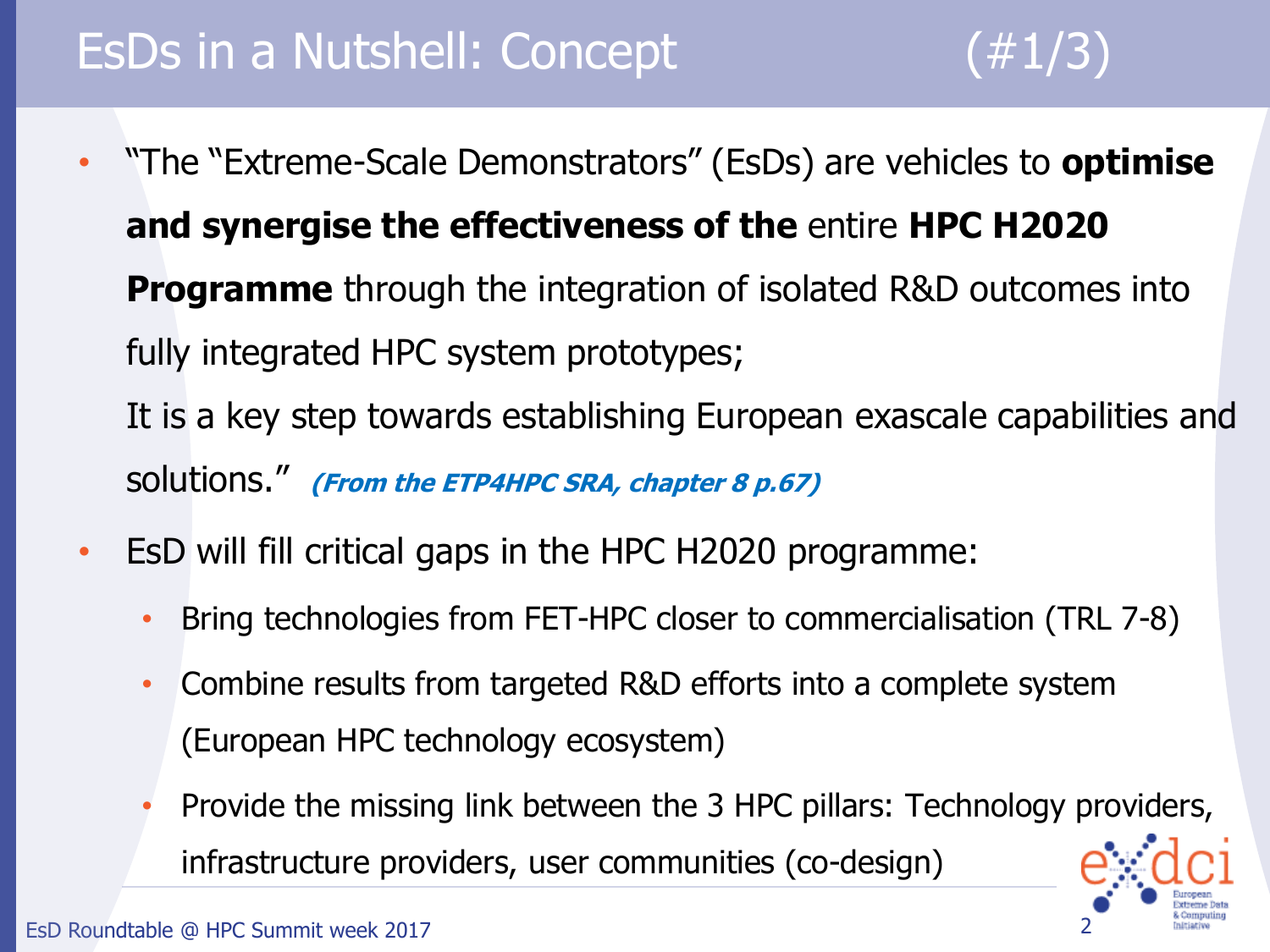### EsDs in a Nutshell: Concept (#1/3)

- "The "Extreme-Scale Demonstrators" (EsDs) are vehicles to **optimise and synergise the effectiveness of the** entire **HPC H2020 Programme** through the integration of isolated R&D outcomes into fully integrated HPC system prototypes; It is a key step towards establishing European exascale capabilities and solutions." **(From the ETP4HPC SRA, chapter 8 p.67)**
- EsD will fill critical gaps in the HPC H2020 programme:
	- Bring technologies from FET-HPC closer to commercialisation (TRL 7-8)
	- Combine results from targeted R&D efforts into a complete system (European HPC technology ecosystem)
	- Provide the missing link between the 3 HPC pillars: Technology providers, infrastructure providers, user communities (co-design)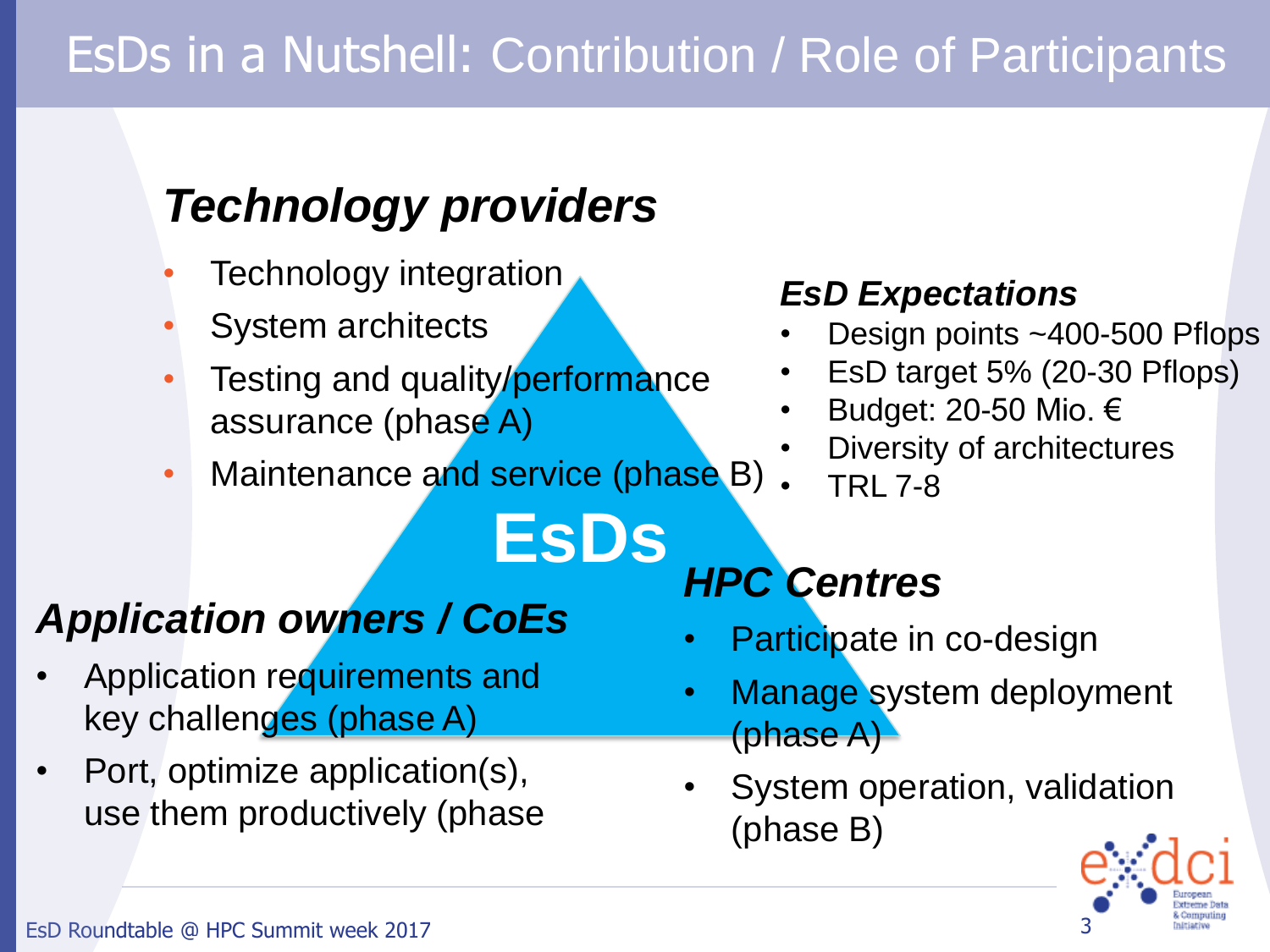## EsDs in a Nutshell: Contribution / Role of Participants

### *Technology providers*

- Technology integration
- System architects
- Testing and quality/performance assurance (phase A)
- Maintenance and service (phase B)

**EsDs**

#### *EsD Expectations*

- Design points ~400-500 Pflops
- EsD target 5% (20-30 Pflops)
- Budget: 20-50 Mio. €
- Diversity of architectures
	- TRL 7-8

### *Application owners / CoEs*

- Application requirements and key challenges (phase A)
- Port, optimize application(s), use them productively (phase

#### *HPC Centres*

- Participate in co-design
- Manage system deployment (phase A)
- System operation, validation (phase B)

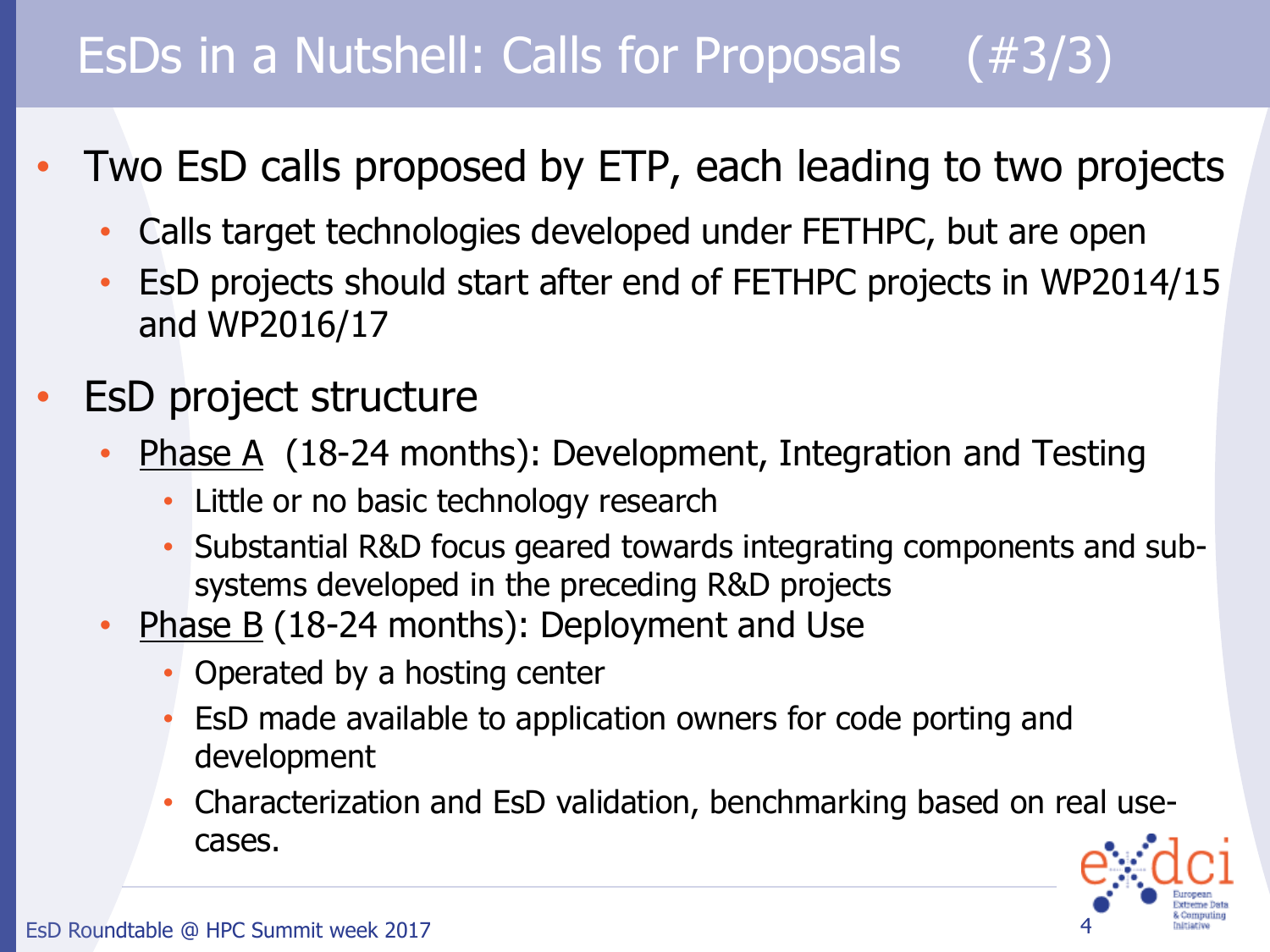## EsDs in a Nutshell: Calls for Proposals (#3/3)

- Two EsD calls proposed by ETP, each leading to two projects
	- Calls target technologies developed under FETHPC, but are open
	- EsD projects should start after end of FETHPC projects in WP2014/15 and WP2016/17
- **EsD project structure** 
	- Phase A (18-24 months): Development, Integration and Testing
		- Little or no basic technology research
		- Substantial R&D focus geared towards integrating components and subsystems developed in the preceding R&D projects
	- **Phase B** (18-24 months): Deployment and Use
		- Operated by a hosting center
		- EsD made available to application owners for code porting and development
		- Characterization and EsD validation, benchmarking based on real usecases.

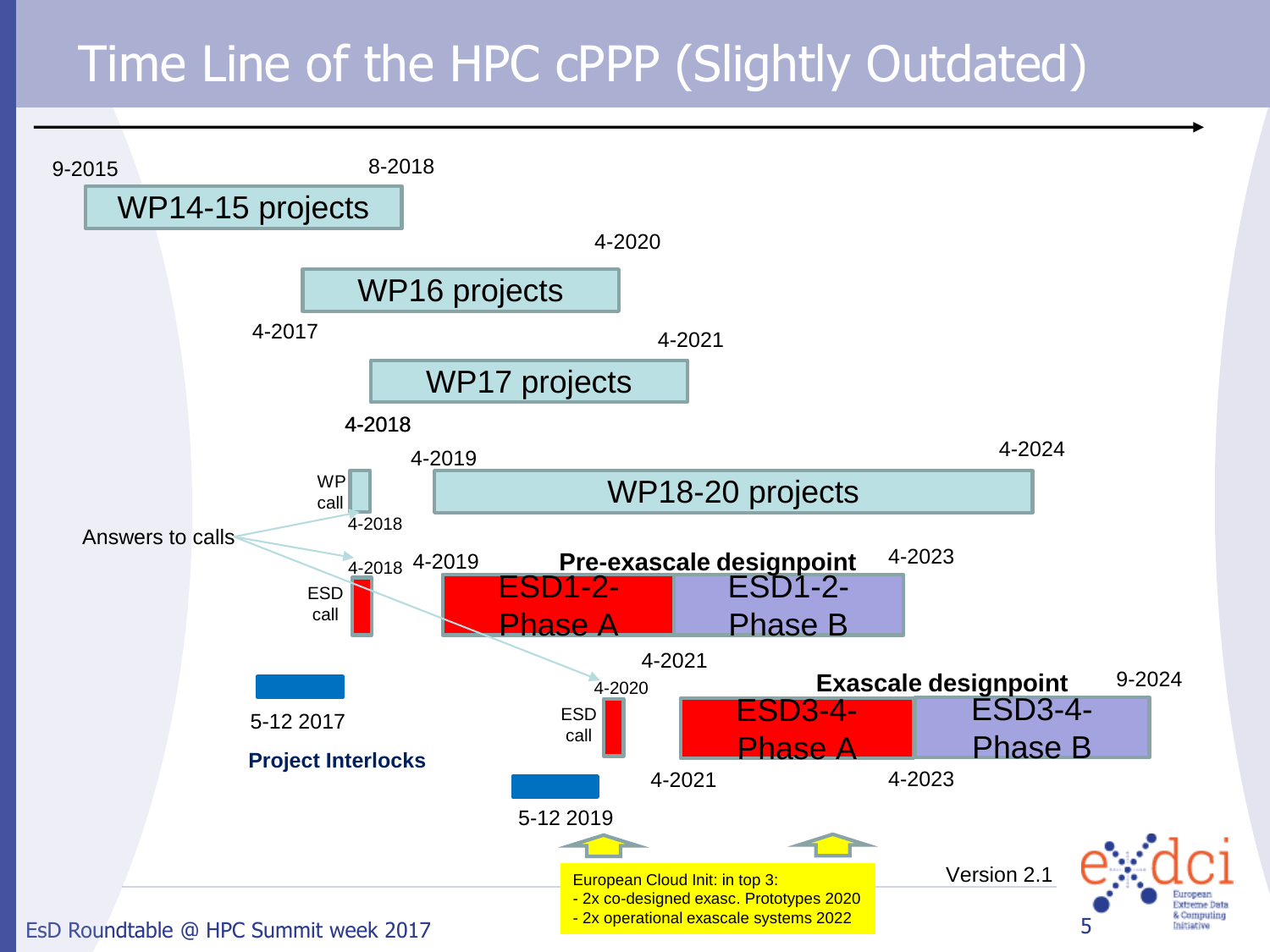### Time Line of the HPC cPPP (Slightly Outdated)

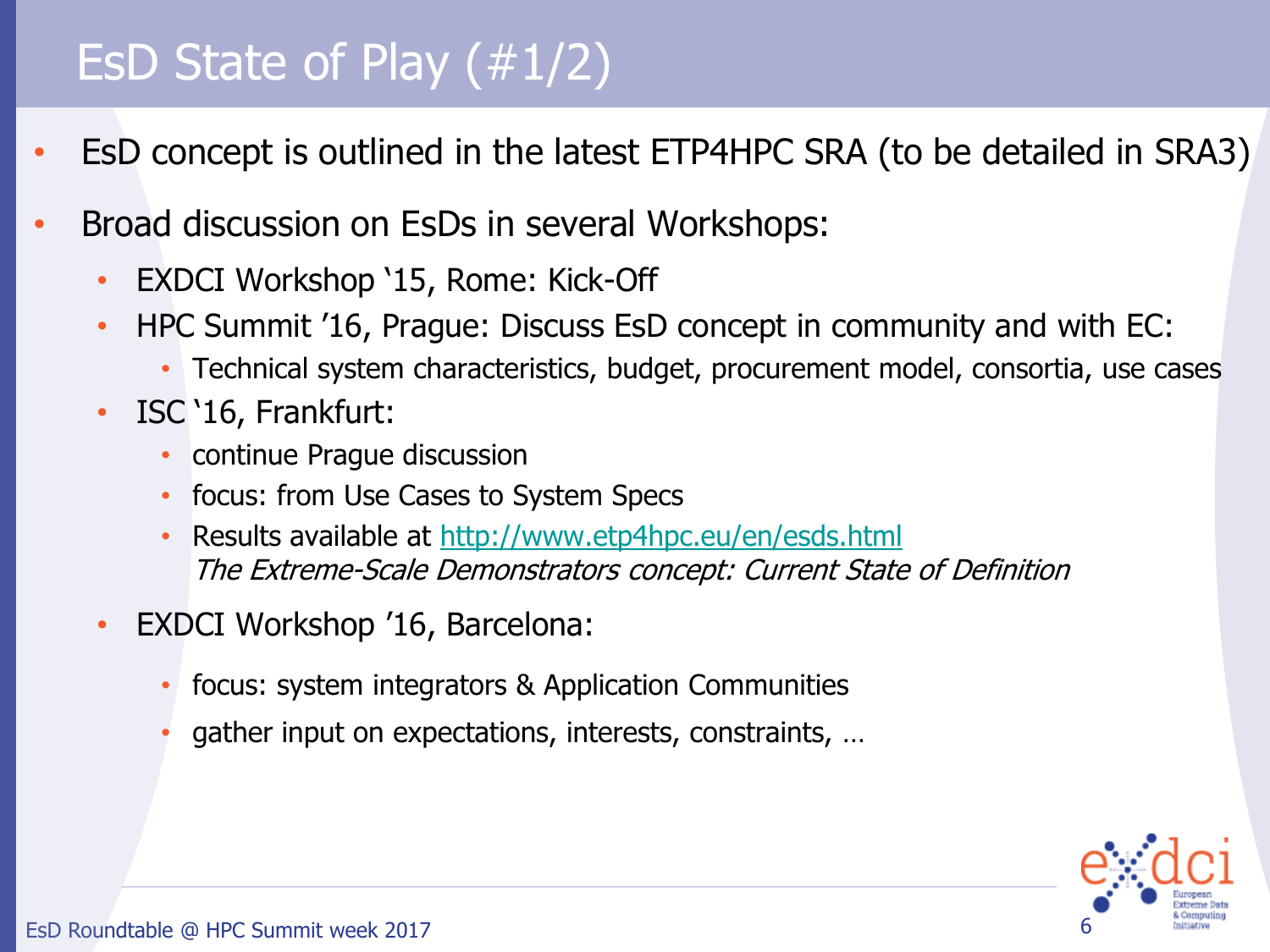### EsD State of Play (#1/2)

- EsD concept is outlined in the latest ETP4HPC SRA (to be detailed in SRA3)
- Broad discussion on EsDs in several Workshops:
	- EXDCI Workshop '15, Rome: Kick-Off
	- HPC Summit '16, Prague: Discuss EsD concept in community and with EC:
		- Technical system characteristics, budget, procurement model, consortia, use cases
	- ISC '16, Frankfurt:
		- continue Prague discussion
		- focus: from Use Cases to System Specs
		- Results available at <http://www.etp4hpc.eu/en/esds.html> The Extreme-Scale Demonstrators concept: Current State of Definition
	- EXDCI Workshop '16, Barcelona:
		- focus: system integrators & Application Communities
		- gather input on expectations, interests, constraints, …

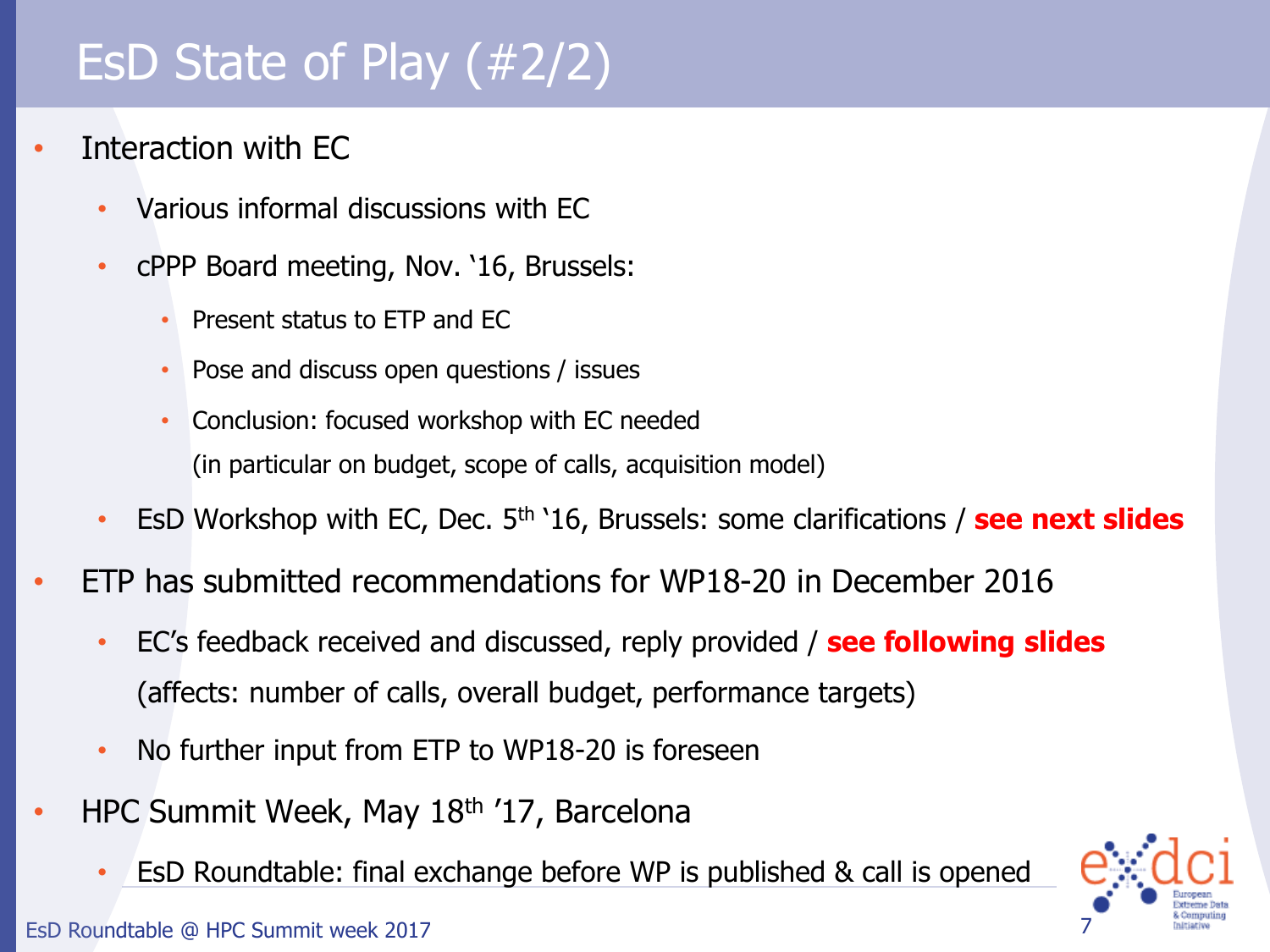## EsD State of Play (#2/2)

- Interaction with EC
	- Various informal discussions with EC
	- cPPP Board meeting, Nov. '16, Brussels:
		- Present status to ETP and EC
		- Pose and discuss open questions / issues
		- Conclusion: focused workshop with EC needed (in particular on budget, scope of calls, acquisition model)
	- EsD Workshop with EC, Dec. 5th '16, Brussels: some clarifications / **see next slides**
- ETP has submitted recommendations for WP18-20 in December 2016
	- EC's feedback received and discussed, reply provided / **see following slides** (affects: number of calls, overall budget, performance targets)
	- No further input from ETP to WP18-20 is foreseen
- HPC Summit Week, May 18th '17, Barcelona
	- EsD Roundtable: final exchange before WP is published & call is opened



EsD Roundtable @ HPC Summit week 2017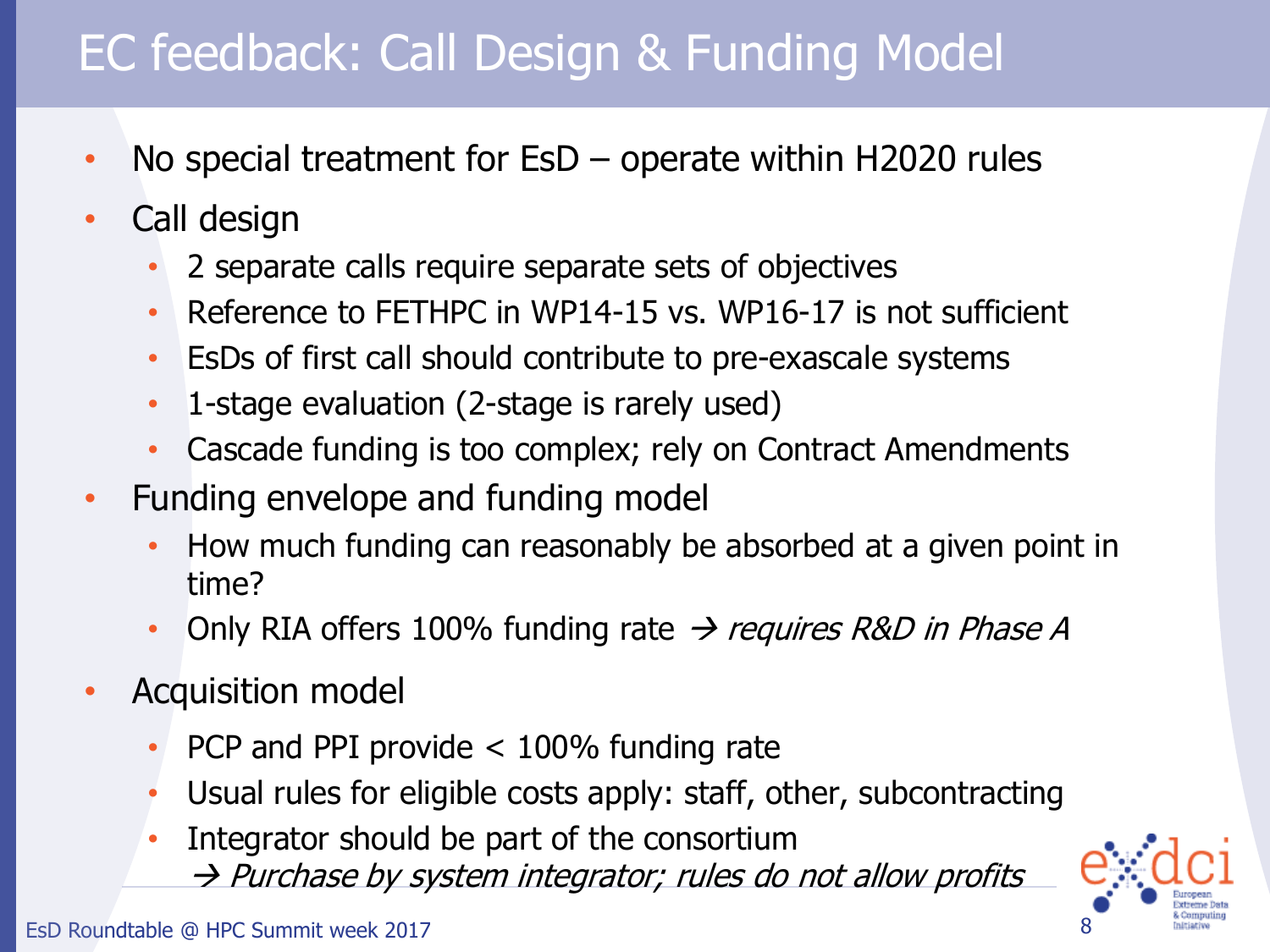## EC feedback: Call Design & Funding Model

- No special treatment for  $ESD$  operate within H2020 rules
- Call design
	- 2 separate calls require separate sets of objectives
	- Reference to FETHPC in WP14-15 vs. WP16-17 is not sufficient
	- EsDs of first call should contribute to pre-exascale systems
	- 1-stage evaluation (2-stage is rarely used)
	- Cascade funding is too complex; rely on Contract Amendments
- Funding envelope and funding model
	- How much funding can reasonably be absorbed at a given point in time?
	- Only RIA offers 100% funding rate  $\rightarrow$  requires R&D in Phase A
- Acquisition model
	- PCP and PPI provide  $<$  100% funding rate
	- Usual rules for eligible costs apply: staff, other, subcontracting
	- Integrator should be part of the consortium  $\rightarrow$  Purchase by system integrator; rules do not allow profits



EsD Roundtable @ HPC Summit week 2017 8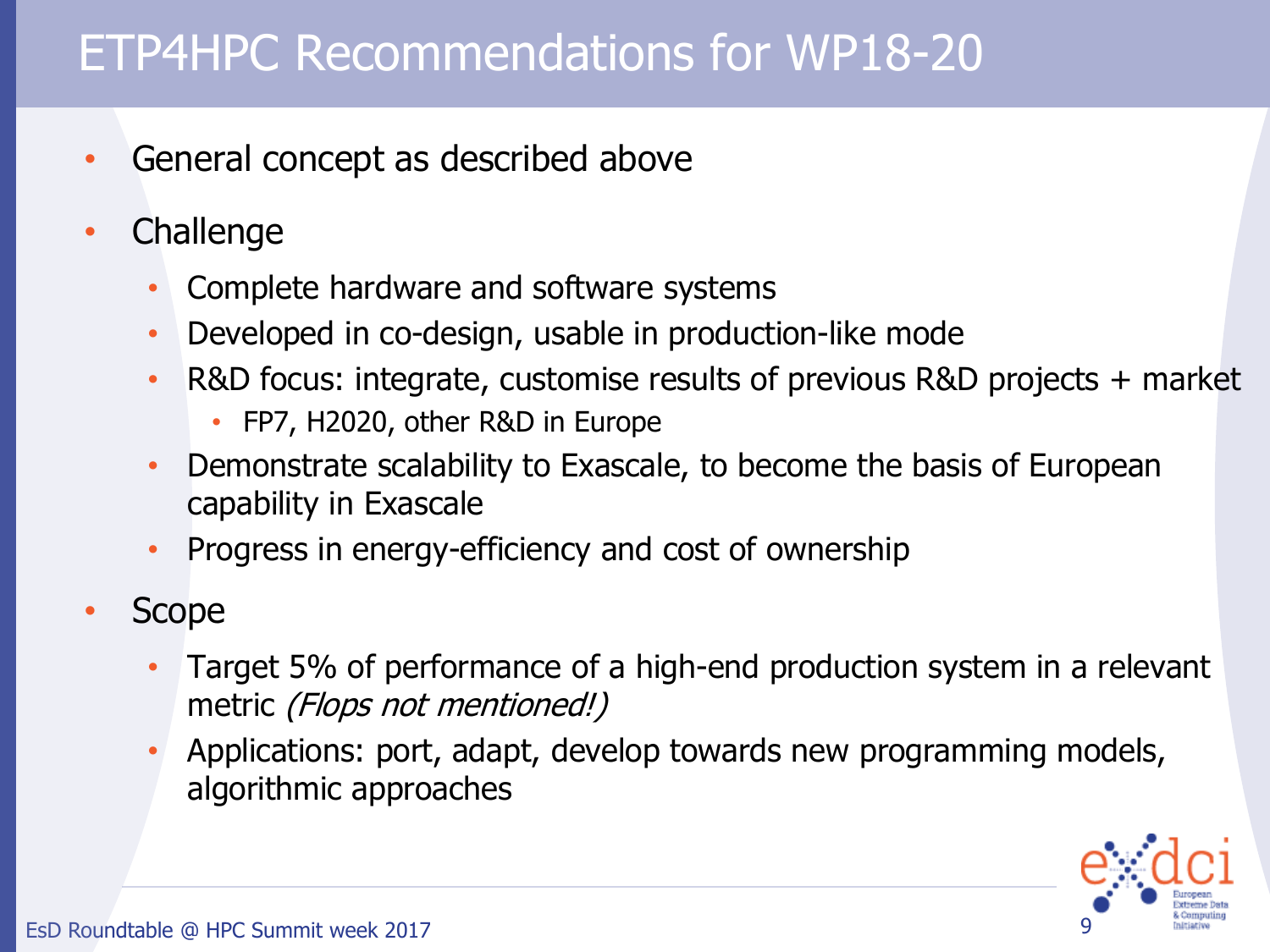#### ETP4HPC Recommendations for WP18-20

- General concept as described above
- **Challenge** 
	- Complete hardware and software systems
	- Developed in co-design, usable in production-like mode
	- R&D focus: integrate, customise results of previous R&D projects + market
		- FP7, H2020, other R&D in Europe
	- Demonstrate scalability to Exascale, to become the basis of European capability in Exascale
	- Progress in energy-efficiency and cost of ownership
- Scope
	- Target 5% of performance of a high-end production system in a relevant metric (Flops not mentioned!)
	- Applications: port, adapt, develop towards new programming models, algorithmic approaches

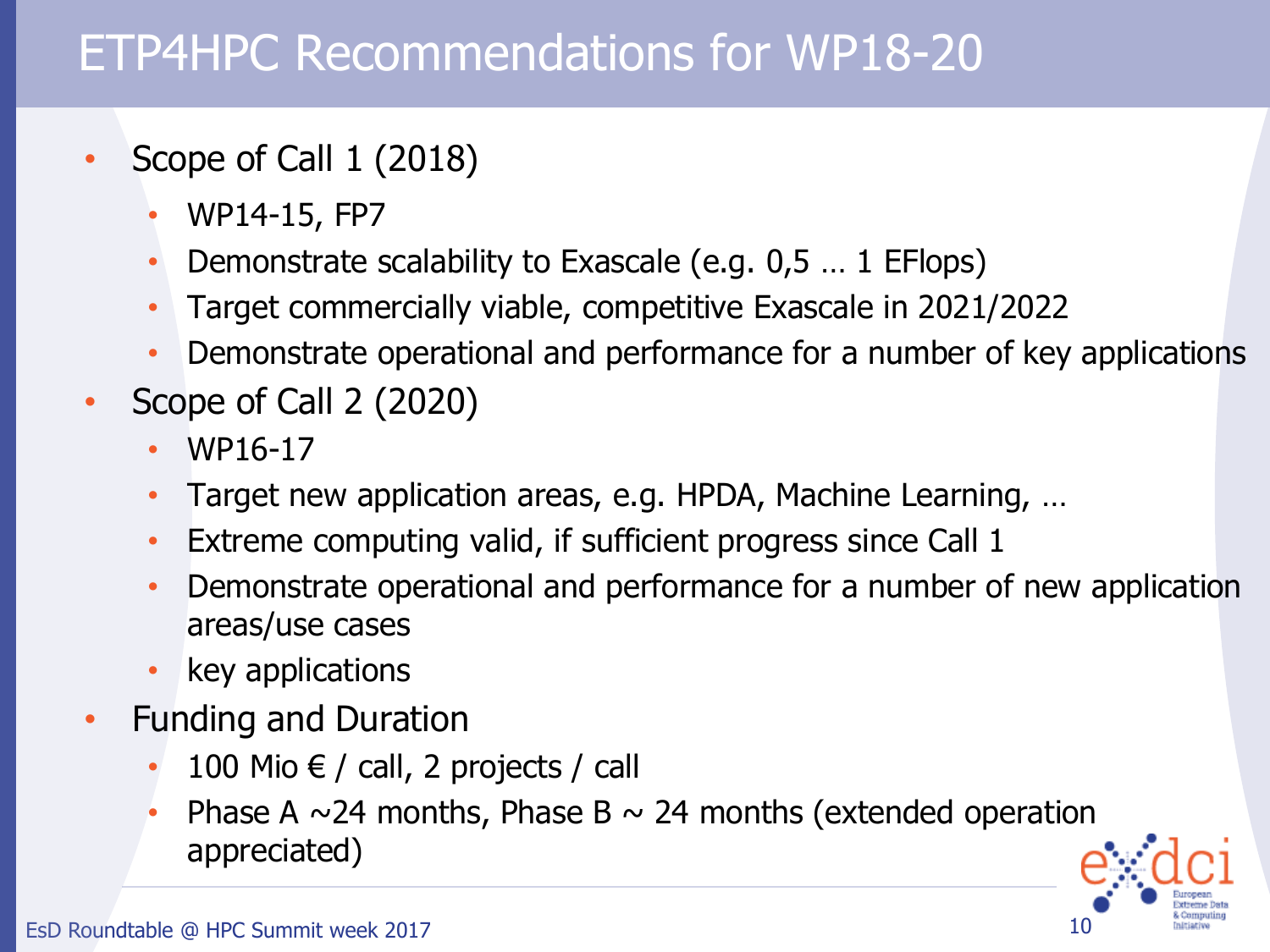### ETP4HPC Recommendations for WP18-20

- Scope of Call 1 (2018)
	- WP14-15, FP7
	- Demonstrate scalability to Exascale (e.g. 0,5 … 1 EFlops)
	- Target commercially viable, competitive Exascale in 2021/2022
	- Demonstrate operational and performance for a number of key applications
- Scope of Call 2 (2020)
	- WP16-17
	- Target new application areas, e.g. HPDA, Machine Learning, …
	- Extreme computing valid, if sufficient progress since Call 1
	- Demonstrate operational and performance for a number of new application areas/use cases
	- key applications
- Funding and Duration
	- 100 Mio  $€ /$  call, 2 projects / call
	- Phase A  $\sim$  24 months, Phase B  $\sim$  24 months (extended operation appreciated)

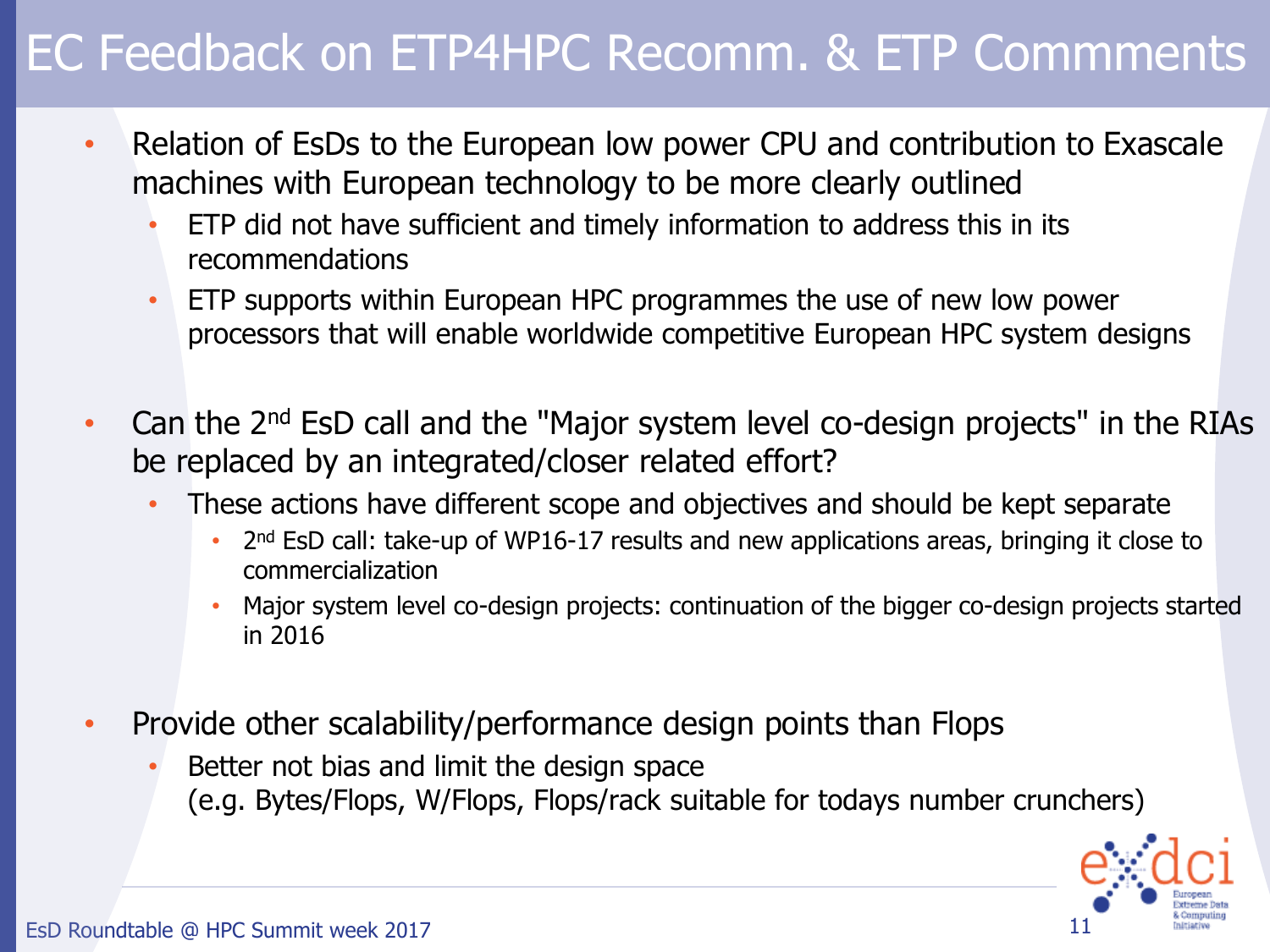- Relation of EsDs to the European low power CPU and contribution to Exascale machines with European technology to be more clearly outlined
	- ETP did not have sufficient and timely information to address this in its recommendations
	- ETP supports within European HPC programmes the use of new low power processors that will enable worldwide competitive European HPC system designs
- Can the  $2<sup>nd</sup>$  EsD call and the "Major system level co-design projects" in the RIAs be replaced by an integrated/closer related effort?
	- These actions have different scope and objectives and should be kept separate
		- 2<sup>nd</sup> EsD call: take-up of WP16-17 results and new applications areas, bringing it close to commercialization
		- Major system level co-design projects: continuation of the bigger co-design projects started in 2016
- Provide other scalability/performance design points than Flops
	- Better not bias and limit the design space (e.g. Bytes/Flops, W/Flops, Flops/rack suitable for todays number crunchers)

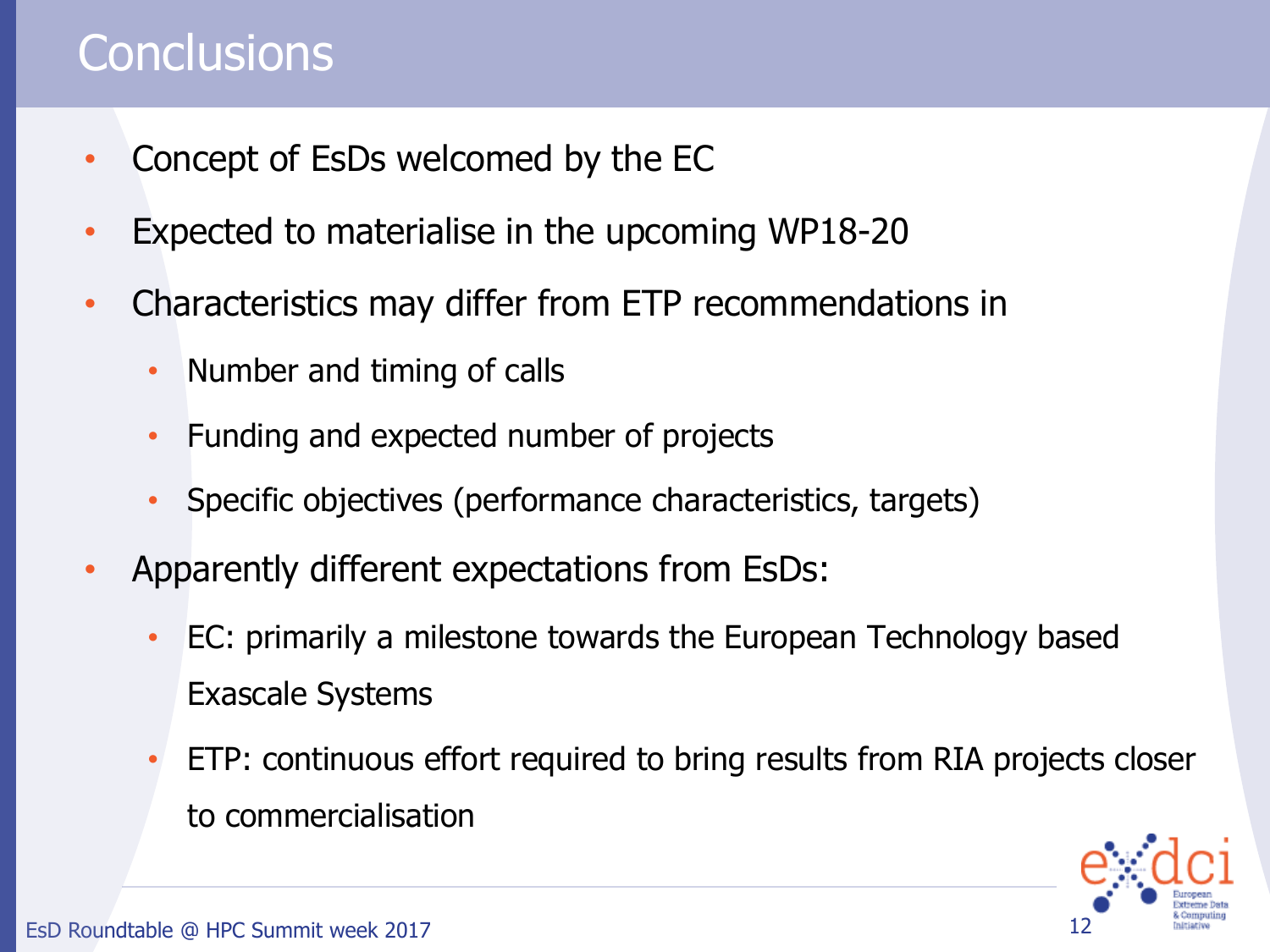### **Conclusions**

- Concept of EsDs welcomed by the EC
- Expected to materialise in the upcoming WP18-20
- Characteristics may differ from ETP recommendations in
	- Number and timing of calls
	- Funding and expected number of projects
	- Specific objectives (performance characteristics, targets)
- Apparently different expectations from EsDs:
	- EC: primarily a milestone towards the European Technology based Exascale Systems
	- ETP: continuous effort required to bring results from RIA projects closer to commercialisation

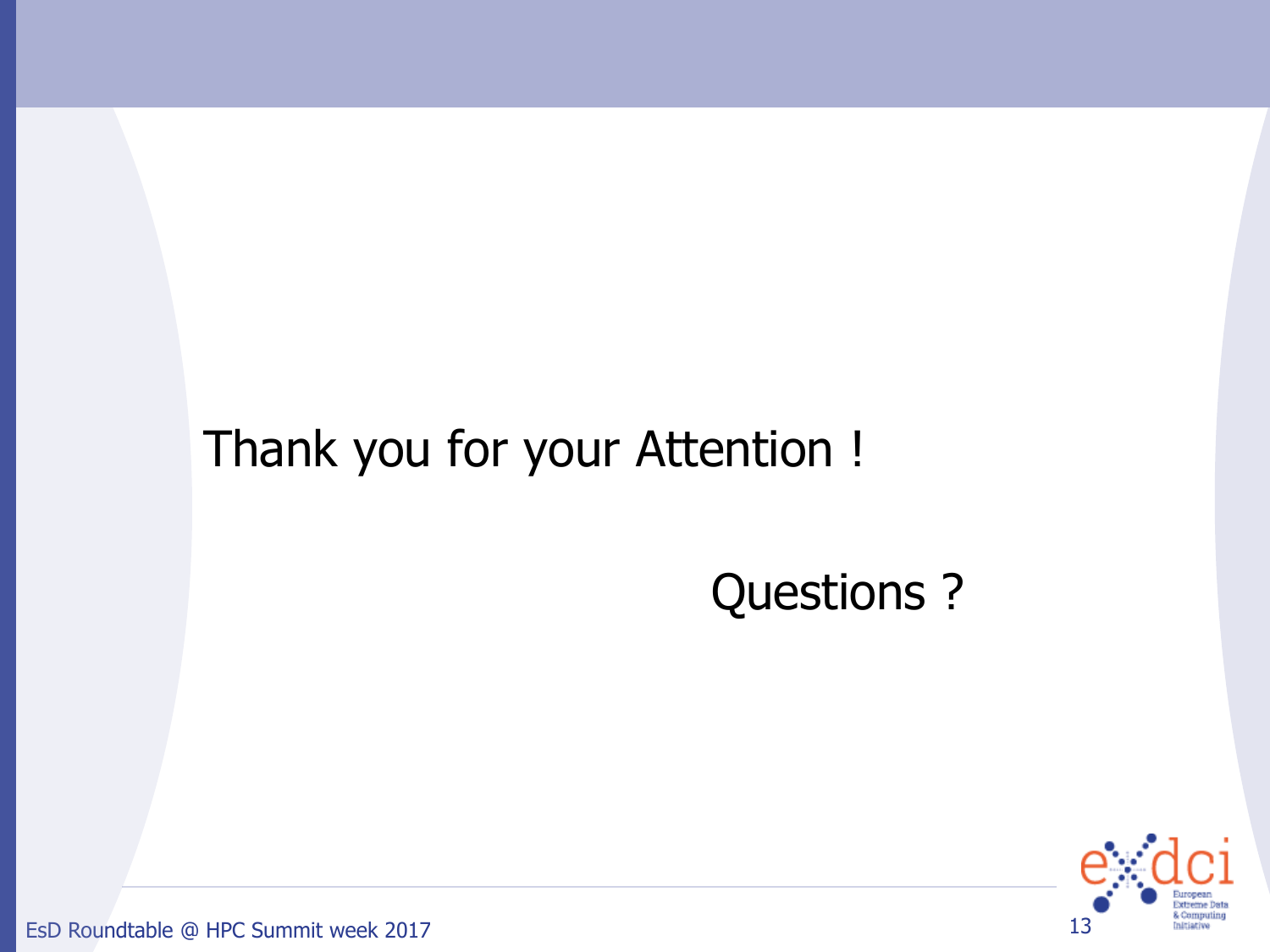## Thank you for your Attention !

## Questions ?



EsD Roundtable @ HPC Summit week 2017 13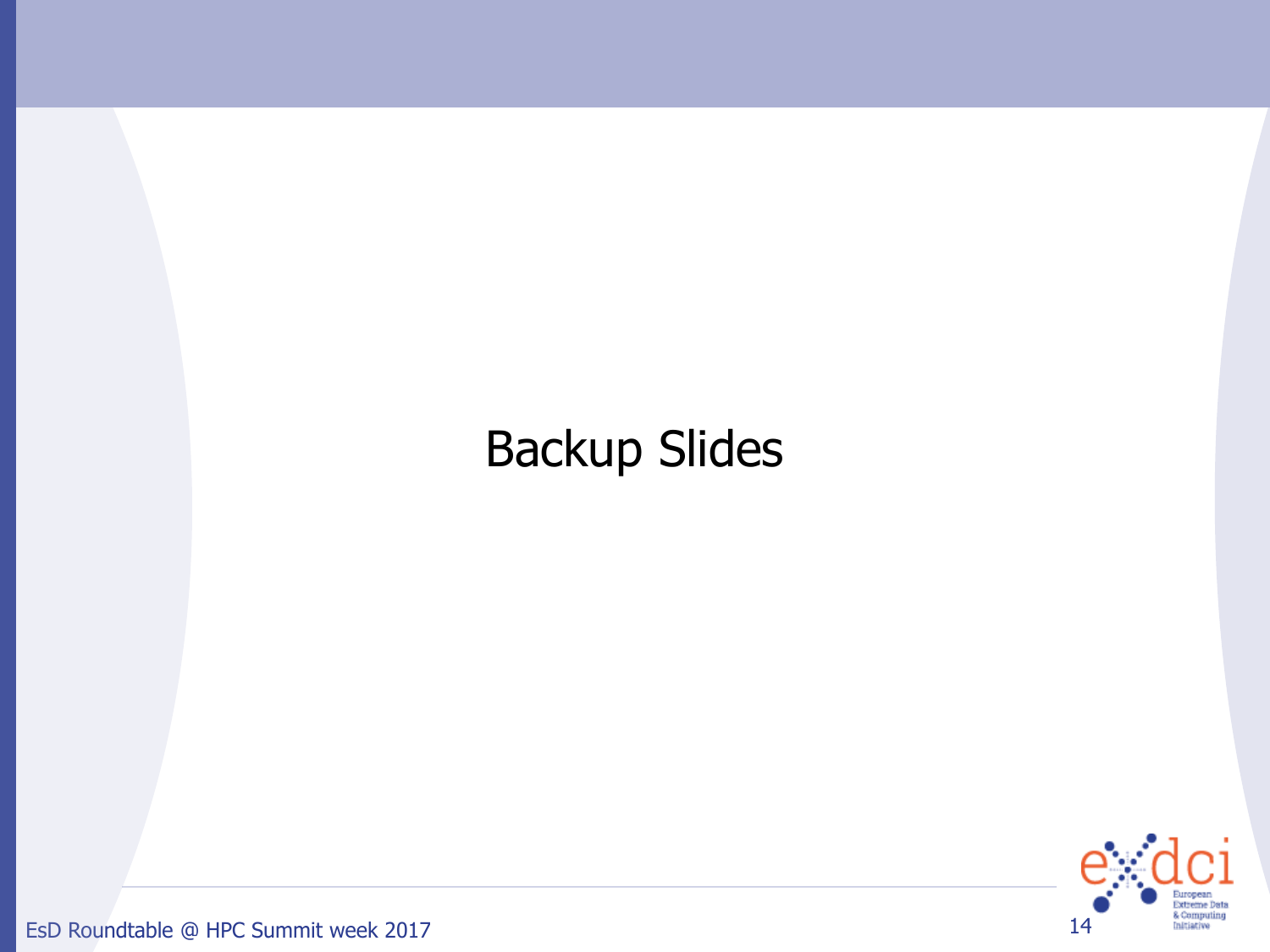## Backup Slides



EsD Roundtable @ HPC Summit week 2017 14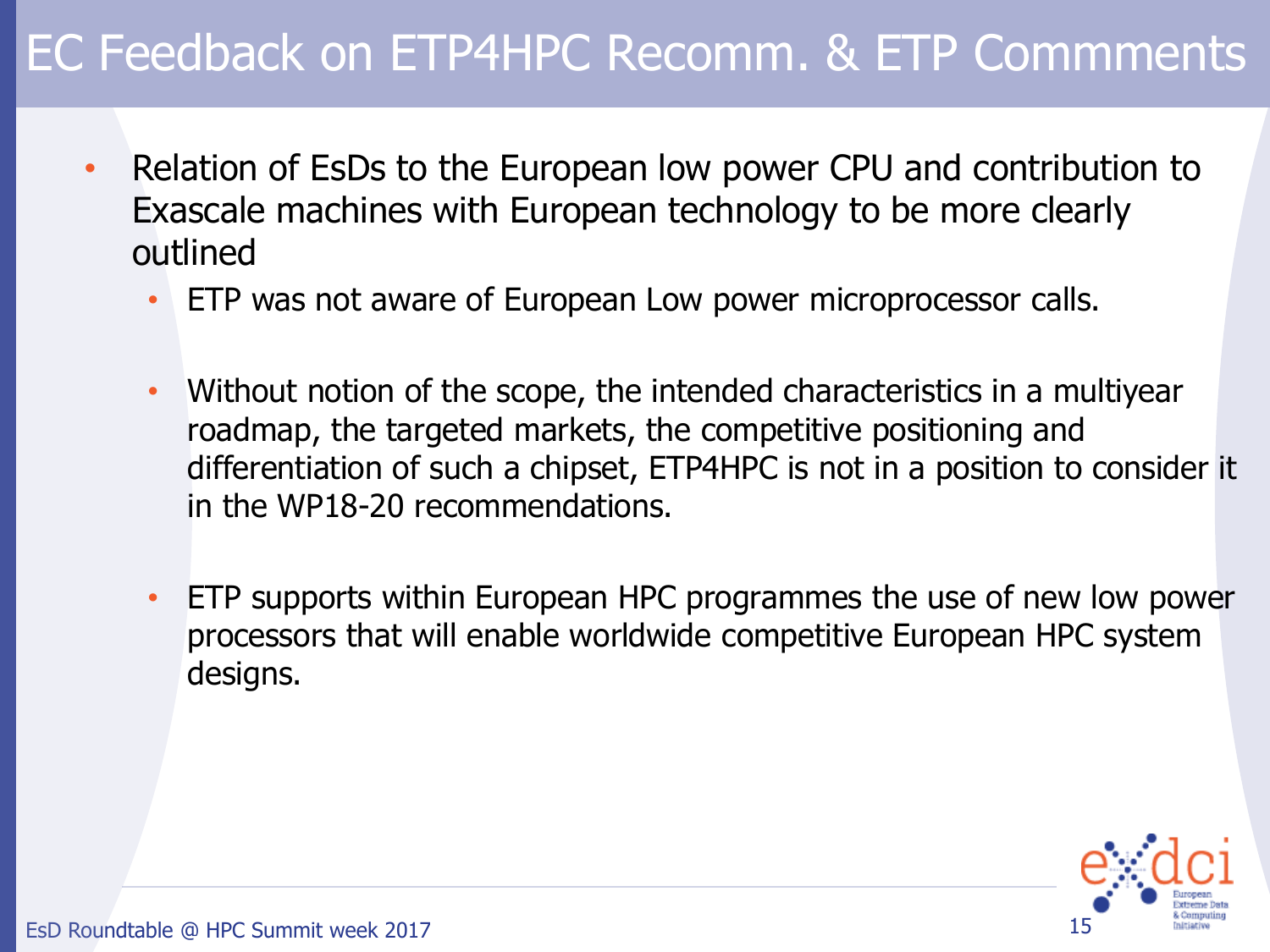- Relation of EsDs to the European low power CPU and contribution to Exascale machines with European technology to be more clearly outlined
	- ETP was not aware of European Low power microprocessor calls.
	- Without notion of the scope, the intended characteristics in a multiyear roadmap, the targeted markets, the competitive positioning and differentiation of such a chipset, ETP4HPC is not in a position to consider it in the WP18-20 recommendations.
	- ETP supports within European HPC programmes the use of new low power processors that will enable worldwide competitive European HPC system designs.

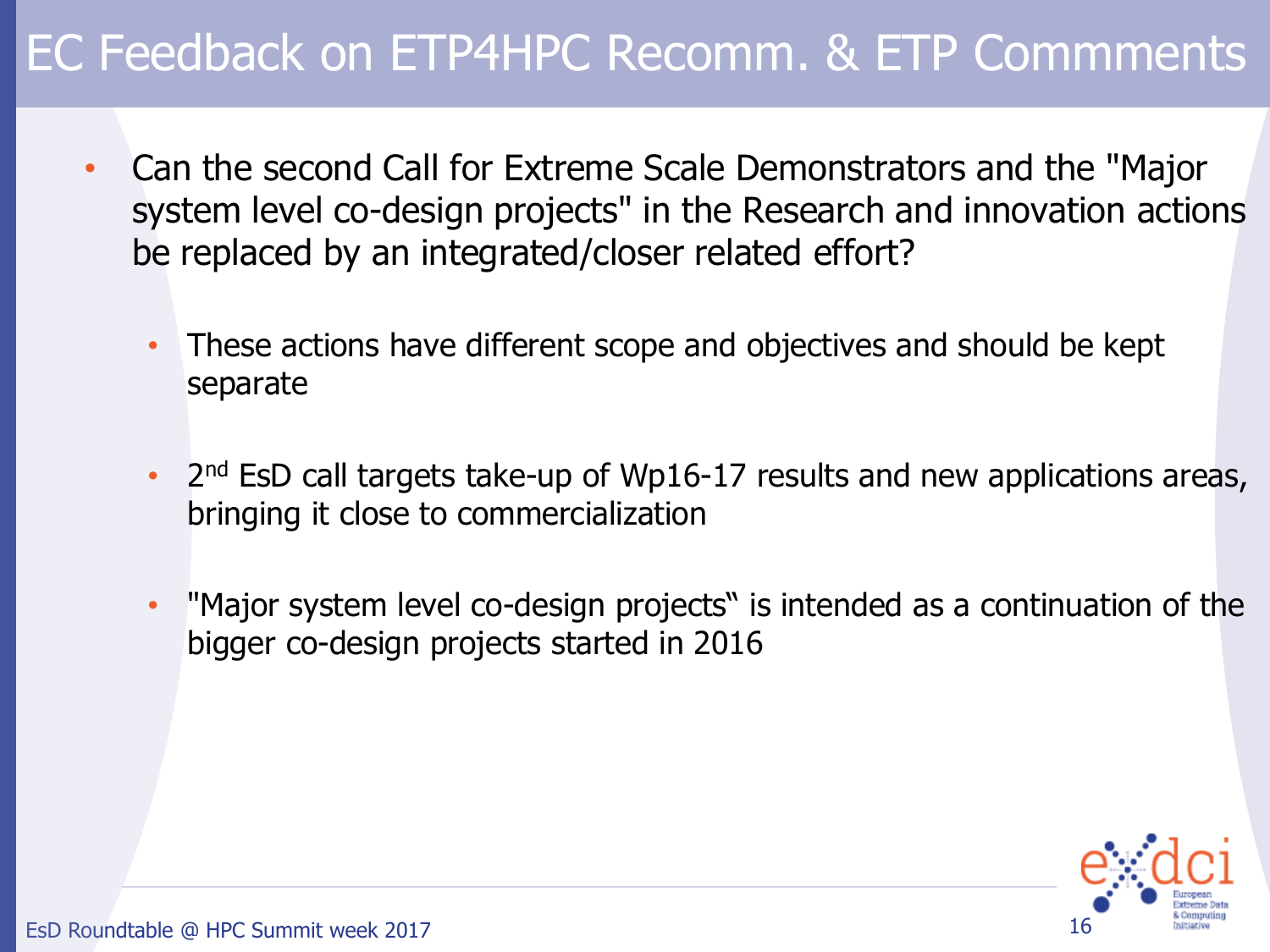- Can the second Call for Extreme Scale Demonstrators and the "Major system level co-design projects" in the Research and innovation actions be replaced by an integrated/closer related effort?
	- These actions have different scope and objectives and should be kept separate
	- 2<sup>nd</sup> EsD call targets take-up of Wp16-17 results and new applications areas, bringing it close to commercialization
	- "Major system level co-design projects" is intended as a continuation of the bigger co-design projects started in 2016

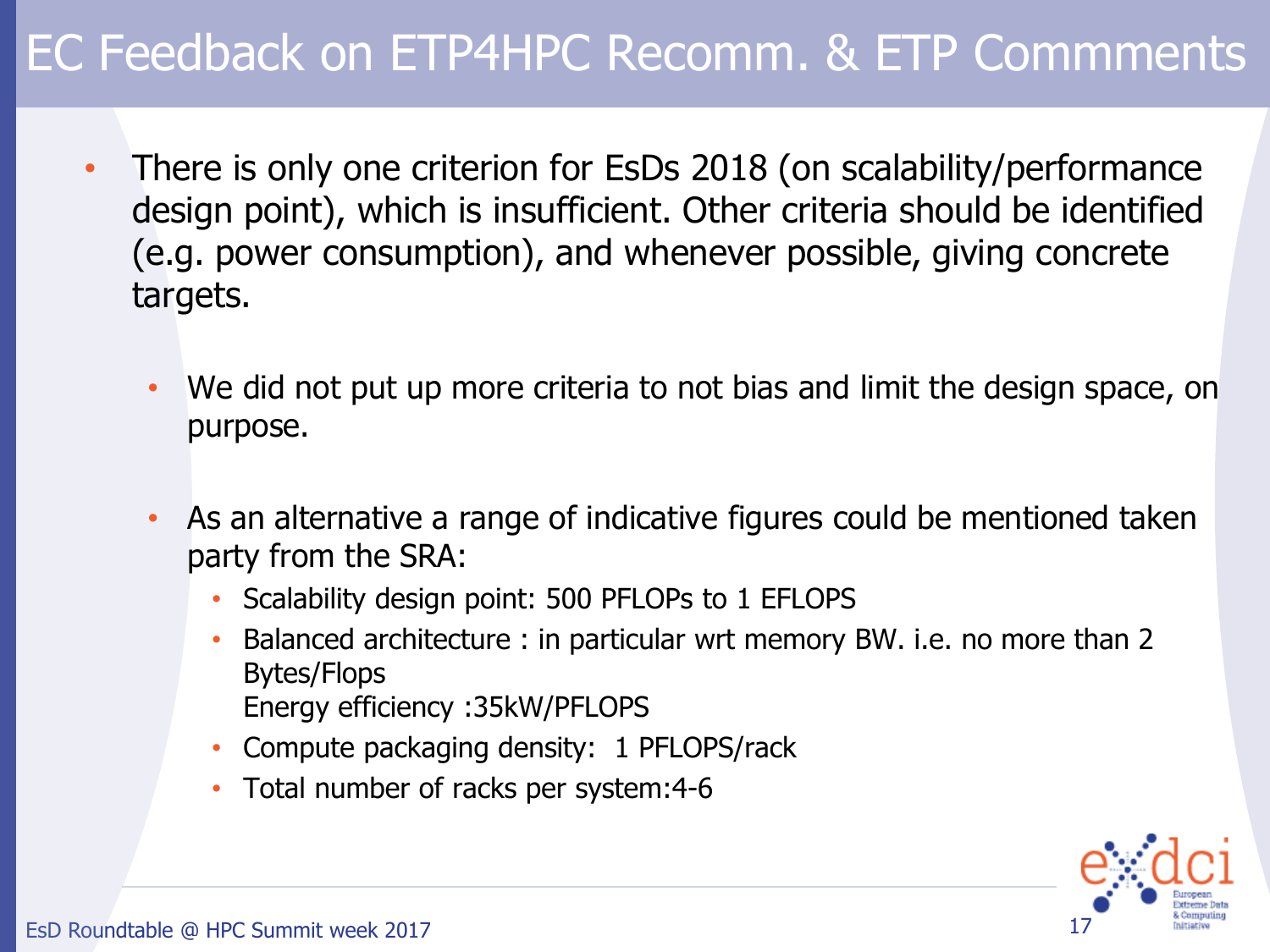- There is only one criterion for EsDs 2018 (on scalability/performance design point), which is insufficient. Other criteria should be identified (e.g. power consumption), and whenever possible, giving concrete targets.
	- We did not put up more criteria to not bias and limit the design space, on purpose.
	- As an alternative a range of indicative figures could be mentioned taken party from the SRA:
		- Scalability design point: 500 PFLOPs to 1 EFLOPS
		- Balanced architecture : in particular wrt memory BW. i.e. no more than 2 Bytes/Flops Energy efficiency :35kW/PFLOPS
		- Compute packaging density: 1 PFLOPS/rack
		- Total number of racks per system: 4-6

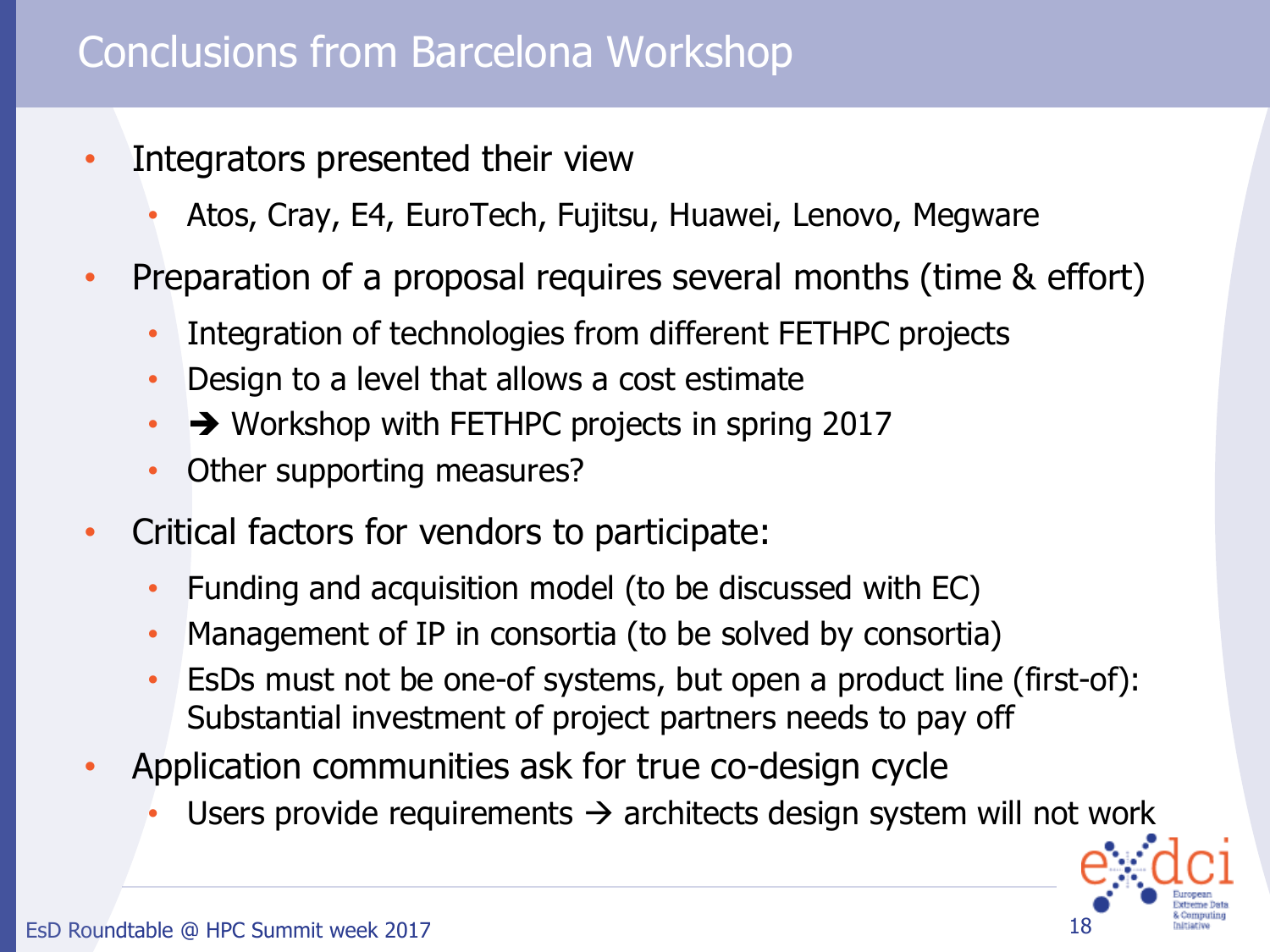#### Conclusions from Barcelona Workshop

- Integrators presented their view
	- Atos, Cray, E4, EuroTech, Fujitsu, Huawei, Lenovo, Megware
- Preparation of a proposal requires several months (time & effort)
	- Integration of technologies from different FETHPC projects
	- Design to a level that allows a cost estimate
	- $\rightarrow$  Workshop with FETHPC projects in spring 2017
	- Other supporting measures?
- Critical factors for vendors to participate:
	- Funding and acquisition model (to be discussed with EC)
	- Management of IP in consortia (to be solved by consortia)
	- EsDs must not be one-of systems, but open a product line (first-of): Substantial investment of project partners needs to pay off
- Application communities ask for true co-design cycle
	- Users provide requirements  $\rightarrow$  architects design system will not work